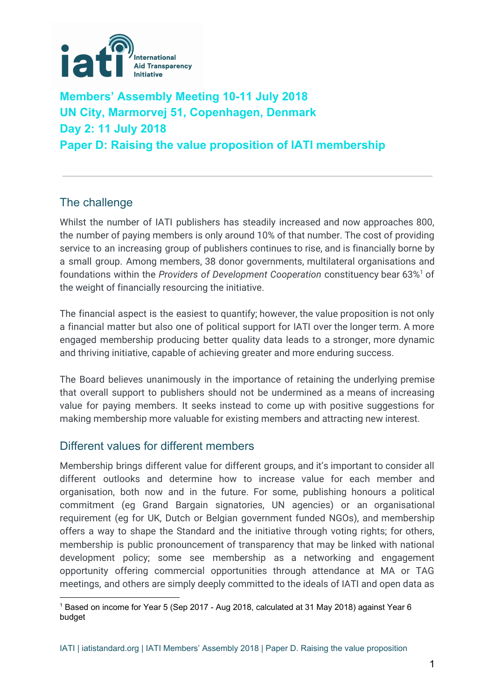

# **Members' Assembly Meeting 10-11 July 2018 UN City, Marmorvej 51, Copenhagen, Denmark Day 2: 11 July 2018 Paper D: Raising the value proposition of IATI membership**

# The challenge

Whilst the number of IATI publishers has steadily increased and now approaches 800, the number of paying members is only around 10% of that number. The cost of providing service to an increasing group of publishers continues to rise, and is financially borne by a small group. Among members, 38 donor governments, multilateral organisations and foundations within the *Providers of Development Cooperation* constituency bear 63% of 1 the weight of financially resourcing the initiative.

The financial aspect is the easiest to quantify; however, the value proposition is not only a financial matter but also one of political support for IATI over the longer term. A more engaged membership producing better quality data leads to a stronger, more dynamic and thriving initiative, capable of achieving greater and more enduring success.

The Board believes unanimously in the importance of retaining the underlying premise that overall support to publishers should not be undermined as a means of increasing value for paying members. It seeks instead to come up with positive suggestions for making membership more valuable for existing members and attracting new interest.

## Different values for different members

Membership brings different value for different groups, and it's important to consider all different outlooks and determine how to increase value for each member and organisation, both now and in the future. For some, publishing honours a political commitment (eg Grand Bargain signatories, UN agencies) or an organisational requirement (eg for UK, Dutch or Belgian government funded NGOs), and membership offers a way to shape the Standard and the initiative through voting rights; for others, membership is public pronouncement of transparency that may be linked with national development policy; some see membership as a networking and engagement opportunity offering commercial opportunities through attendance at MA or TAG meetings, and others are simply deeply committed to the ideals of IATI and open data as

<sup>&</sup>lt;sup>1</sup> Based on income for Year 5 (Sep 2017 - Aug 2018, calculated at 31 May 2018) against Year 6 budget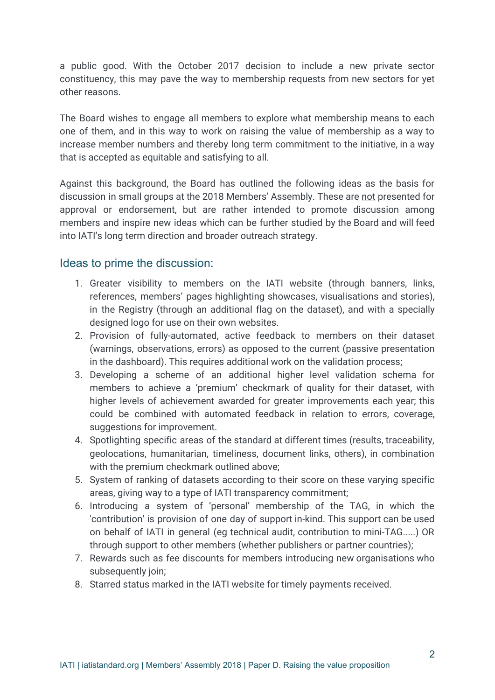a public good. With the October 2017 decision to include a new private sector constituency, this may pave the way to membership requests from new sectors for yet other reasons.

The Board wishes to engage all members to explore what membership means to each one of them, and in this way to work on raising the value of membership as a way to increase member numbers and thereby long term commitment to the initiative, in a way that is accepted as equitable and satisfying to all.

Against this background, the Board has outlined the following ideas as the basis for discussion in small groups at the 2018 Members' Assembly. These are not presented for approval or endorsement, but are rather intended to promote discussion among members and inspire new ideas which can be further studied by the Board and will feed into IATI's long term direction and broader outreach strategy.

#### Ideas to prime the discussion:

- 1. Greater visibility to members on the IATI website (through banners, links, references, members' pages highlighting showcases, visualisations and stories), in the Registry (through an additional flag on the dataset), and with a specially designed logo for use on their own websites.
- 2. Provision of fully-automated, active feedback to members on their dataset (warnings, observations, errors) as opposed to the current (passive presentation in the dashboard). This requires additional work on the validation process;
- 3. Developing a scheme of an additional higher level validation schema for members to achieve a 'premium' checkmark of quality for their dataset, with higher levels of achievement awarded for greater improvements each year; this could be combined with automated feedback in relation to errors, coverage, suggestions for improvement.
- 4. Spotlighting specific areas of the standard at different times (results, traceability, geolocations, humanitarian, timeliness, document links, others), in combination with the premium checkmark outlined above;
- 5. System of ranking of datasets according to their score on these varying specific areas, giving way to a type of IATI transparency commitment;
- 6. Introducing a system of 'personal' membership of the TAG, in which the 'contribution' is provision of one day of support in-kind. This support can be used on behalf of IATI in general (eg technical audit, contribution to mini-TAG.....) OR through support to other members (whether publishers or partner countries);
- 7. Rewards such as fee discounts for members introducing new organisations who subsequently join;
- 8. Starred status marked in the IATI website for timely payments received.